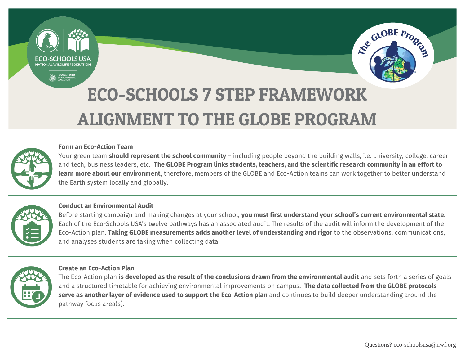NATIONAL WILDLIFF FEDERATION



# ECO-SCHOOLS 7 STEP FRAMEWORK ALIGNMENT TO THE GLOBE PROGRAM



# **Form an Eco-Action Team**

Your green team **should represent the school community** – including people beyond the building walls, i.e. university, college, career and tech, business leaders, etc. **The GLOBE Program links students, teachers, and the scientific research community in an effort to learn more about our environment**, therefore, members of the GLOBE and Eco-Action teams can work together to better understand the Earth system locally and globally.



# **Conduct an Environmental Audit**

Before starting campaign and making changes at your school, **you must first understand your school's current environmental state**. Each of the Eco-Schools USA's twelve pathways has an associated audit. The results of the audit will inform the development of the Eco-Action plan. **Taking GLOBE measurements adds another level of understanding and rigor** to the observations, communications, and analyses students are taking when collecting data.



# **Create an Eco-Action Plan**

The Eco-Action plan **is developed as the result of the conclusions drawn from the environmental audit** and sets forth a series of goals and a structured timetable for achieving environmental improvements on campus. **The data collected from the GLOBE protocols serve as another layer of evidence used to support the Eco-Action plan** and continues to build deeper understanding around the pathway focus area(s).